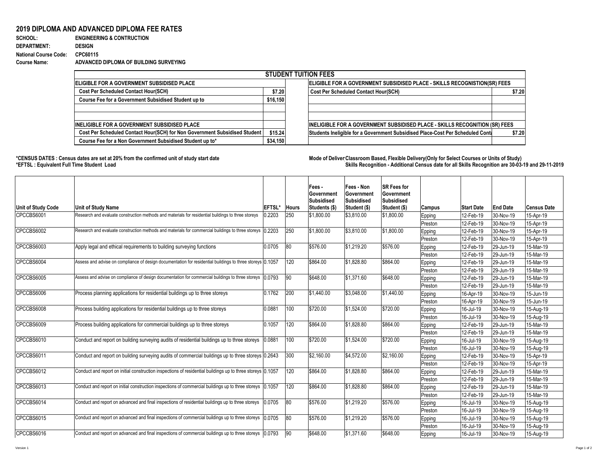## **2019 DIPLOMA AND ADVANCED DIPLOMA FEE RATES**

| <b>SCHOOL:</b>               | <b>ENGINEERING &amp; CONTRUCTION</b>   |
|------------------------------|----------------------------------------|
| <b>DEPARTMENT:</b>           | <b>DESIGN</b>                          |
| <b>National Course Code:</b> | CPC60115                               |
| <b>Course Name:</b>          | ADVANCED DIPLOMA OF BUILDING SURVEYING |

\*CENSUS DATES : Census dates are set at 20% from the confirmed unit of study start date **Mode of Deliver Classroom Based, Flexible Delivery(Only for Select Courses or Units of Study) \*EFTSL : Equivalent Full Time Student Load Skills Recognition - Additional Census date for all Skills Recognition are 30-03-19 and 29-11-2019** 

|                                                                            |          | <b>STUDENT TUITION FEES</b>                                                    |        |  |  |  |  |
|----------------------------------------------------------------------------|----------|--------------------------------------------------------------------------------|--------|--|--|--|--|
| <b> ELIGIBLE FOR A GOVERNMENT SUBSIDISED PLACE</b>                         |          | ELIGIBLE FOR A GOVERNMENT SUBSIDISED PLACE - SKILLS RECOGNISTION(SR) FEES      |        |  |  |  |  |
| <b>Cost Per Scheduled Contact Hour(SCH)</b>                                |          | <b>Cost Per Scheduled Contact Hour(SCH)</b>                                    | \$7.20 |  |  |  |  |
| <b>Course Fee for a Government Subsidised Student up to</b>                | \$16,150 |                                                                                |        |  |  |  |  |
|                                                                            |          |                                                                                |        |  |  |  |  |
|                                                                            |          |                                                                                |        |  |  |  |  |
| <b>IINELIGIBLE FOR A GOVERNMENT SUBSIDISED PLACE</b>                       |          | INELIGIBLE FOR A GOVERNMENT SUBSIDISED PLACE - SKILLS RECOGNITION (SR) FEES    |        |  |  |  |  |
| Cost Per Scheduled Contact Hour(SCH) for Non Government Subsidised Student | \$15.24  | Students Ineligible for a Government Subsidised Place-Cost Per Scheduled Conta | \$7.20 |  |  |  |  |
| Course Fee for a Non Government Subsidised Student up to*                  | \$34,150 |                                                                                |        |  |  |  |  |
|                                                                            |          |                                                                                |        |  |  |  |  |

| Unit of Study Code | <b>Unit of Study Name</b>                                                                                   | <b>EFTSL</b> | <b>Hours</b> | Fees -<br><b>Government</b><br><b>Subsidised</b><br>Students (\$) | <b>Fees - Non</b><br><b>Sovernment</b><br>Subsidised<br><b>Student (\$)</b> | <b>SR Fees for</b><br>Government<br><b>Subsidised</b><br>Student (\$) | <b>Campus</b> | <b>Start Date</b> | <b>End Date</b>   | <b>Census Date</b> |
|--------------------|-------------------------------------------------------------------------------------------------------------|--------------|--------------|-------------------------------------------------------------------|-----------------------------------------------------------------------------|-----------------------------------------------------------------------|---------------|-------------------|-------------------|--------------------|
| CPCCBS6001         | Research and evaluate construction methods and materials for residential buildings to three storeys         | 0.2203       | 250          | \$1,800.00                                                        | \$3,810.00                                                                  | $ \$1,800.00$                                                         | Epping        | 12-Feb-19         | 30-Nov-19         | $15 - Apr - 19$    |
|                    |                                                                                                             |              |              |                                                                   |                                                                             |                                                                       | Preston       | 12-Feb-19         | 30-Nov-19         | 15-Apr-19          |
| CPCCBS6002         | Research and evaluate construction methods and materials for commercial buildings to three storeys (0.2203  |              | 250          | \$1,800.00                                                        | \$3,810.00                                                                  | \$1,800.00                                                            | Epping        | 12-Feb-19         | 30-Nov-19         | 15-Apr-19          |
|                    |                                                                                                             |              |              |                                                                   |                                                                             |                                                                       | Preston       | 12-Feb-19         | 30-Nov-19         | 15-Apr-19          |
| CPCCBS6003         | Apply legal and ethical requirements to building surveying functions                                        | 0.0705       | 80           | \$576.00                                                          | $\frac{1}{1}$ \$1,219.20                                                    | \$576.00                                                              | Epping        | 12-Feb-19         | $ 29 - Jun - 19 $ | 15-Mar-19          |
|                    |                                                                                                             |              |              |                                                                   |                                                                             |                                                                       | Preston       | 12-Feb-19         | $ 29 - Jun - 19 $ | 15-Mar-19          |
| CPCCBS6004         | Assess and advise on compliance of design documentation for residential buildings to three storeys 0.1057   |              | 120          | \$864.00                                                          | \$1,828.80                                                                  | \$864.00                                                              | <b>Epping</b> | $12$ -Feb-19      | $ 29 - Jun - 19 $ | 15-Mar-19          |
|                    |                                                                                                             |              |              |                                                                   |                                                                             |                                                                       | Preston       | 12-Feb-19         | $ 29 - Jun - 19 $ | 15-Mar-19          |
| CPCCBS6005         | Assess and advise on compliance of design documentation for commercial buildings to three storeys 10.0793   |              | 90           | \$648.00                                                          | \$1,371.60                                                                  | \$648.00                                                              | <b>Epping</b> | $12$ -Feb-19      | $ 29 - Jun - 19 $ | 15-Mar-19          |
|                    |                                                                                                             |              |              |                                                                   |                                                                             |                                                                       | Preston       | $12$ -Feb-19      | $ 29 - Jun - 19 $ | 15-Mar-19          |
| CPCCBS6006         | Process planning applications for residential buildings up to three storeys                                 | 0.1762       | 200          | $\frac{1}{9}1,440.00$                                             | \$3,048.00                                                                  | $ \$1,440.00$                                                         | Epping        | 16-Apr-19         | $ 30-Nov-19 $     | $ 15 - Jun - 19 $  |
|                    |                                                                                                             |              |              |                                                                   |                                                                             |                                                                       | Preston       | $16$ -Apr-19      | $ 30-Nov-19 $     | 15-Jun-19          |
| CPCCBS6008         | Process building applications for residential buildings up to three storeys                                 | 0.0881       | 100          | \$720.00                                                          | \$1,524.00                                                                  | \$720.00                                                              | <b>Epping</b> | 16-Jul-19         | 30-Nov-19         | 15-Aug-19          |
|                    |                                                                                                             |              |              |                                                                   |                                                                             |                                                                       | Preston       | 16-Jul-19         | 30-Nov-19         | 15-Aug-19          |
| CPCCBS6009         | Process building applications for commercial buildings up to three storeys                                  | 0.1057       | 120          | \$864.00                                                          | \$1,828.80                                                                  | \$864.00                                                              | Epping        | $12$ -Feb-19      | $ 29 - Jun - 19 $ | 15-Mar-19          |
|                    |                                                                                                             |              |              |                                                                   |                                                                             |                                                                       | Preston       | $12$ -Feb-19      | $ 29 - Jun - 19 $ | 15-Mar-19          |
| CPCCBS6010         | Conduct and report on building surveying audits of residential buildings up to three storeys (0.0881        |              | 100          | \$720.00                                                          | $\frac{1}{9}1,524.00$                                                       | \$720.00                                                              | <b>Epping</b> | 16-Jul-19         | 30-Nov-19         | 15-Aug-19          |
|                    |                                                                                                             |              |              |                                                                   |                                                                             |                                                                       | Preston       | 16-Jul-19         | 30-Nov-19         | 15-Aug-19          |
| CPCCBS6011         | Conduct and report on building surveying audits of commercial buildings up to three storeys 0.2643          |              | 300          | \$2,160.00                                                        | $\frac{1}{94,572.00}$                                                       | $\frac{1}{2}$ ,160.00                                                 | <b>Epping</b> | 12-Feb-19         | 30-Nov-19         | $15-Apr-19$        |
|                    |                                                                                                             |              |              |                                                                   |                                                                             |                                                                       | Preston       | 12-Feb-19         | 30-Nov-19         | 15-Apr-19          |
| CPCCBS6012         | Conduct and report on initial construction inspections of residential buildings up to three storeys (0.1057 |              | 120          | \$864.00                                                          | \$1,828.80                                                                  | \$864.00                                                              | <b>Epping</b> | 12-Feb-19         | $ 29 - Jun - 19 $ | 15-Mar-19          |
|                    |                                                                                                             |              |              |                                                                   |                                                                             |                                                                       | Preston       | 12-Feb-19         | $ 29 - Jun - 19 $ | 15-Mar-19          |
| CPCCBS6013         | Conduct and report on initial construction inspections of commercial buildings up to three storeys (0.1057) |              | 120          | \$864.00                                                          | \$1,828.80                                                                  | \$864.00                                                              | Epping        | 12-Feb-19         | $ 29 - Jun - 19 $ | 15-Mar-19          |
|                    |                                                                                                             |              |              |                                                                   |                                                                             |                                                                       | Preston       | 12-Feb-19         | $ 29 - Jun - 19 $ | 15-Mar-19          |
| CPCCBS6014         | Conduct and report on advanced and final inspections of residential buildings up to three storeys (0.0705   |              | 80           | \$576.00                                                          | $\frac{1}{1}$ \$1,219.20                                                    | \$576.00                                                              | <b>Epping</b> | 16-Jul-19         | 30-Nov-19         | 15-Aug-19          |
|                    |                                                                                                             |              |              |                                                                   |                                                                             |                                                                       | Preston       | 16-Jul-19         | 30-Nov-19         | 15-Aug-19          |
| CPCCBS6015         | Conduct and report on advanced and final inspections of commercial buildings up to three storeys (0.0705    |              | 80           | \$576.00                                                          | \$1,219.20                                                                  | \$576.00                                                              | <b>Epping</b> | 16-Jul-19         | 30-Nov-19         | 15-Aug-19          |
|                    |                                                                                                             |              |              |                                                                   |                                                                             |                                                                       | Preston       | 16-Jul-19         | 30-Nov-19         | 15-Aug-19          |
| CPCCBS6016         | Conduct and report on advanced and final inspections of commercial buildings up to three storeys (0.0793    |              | 90           | \$648.00                                                          | \$1,371.60                                                                  | \$648.00                                                              | <b>Epping</b> | 16-Jul-19         | $ 30-Nov-19 $     | 15-Aug-19          |